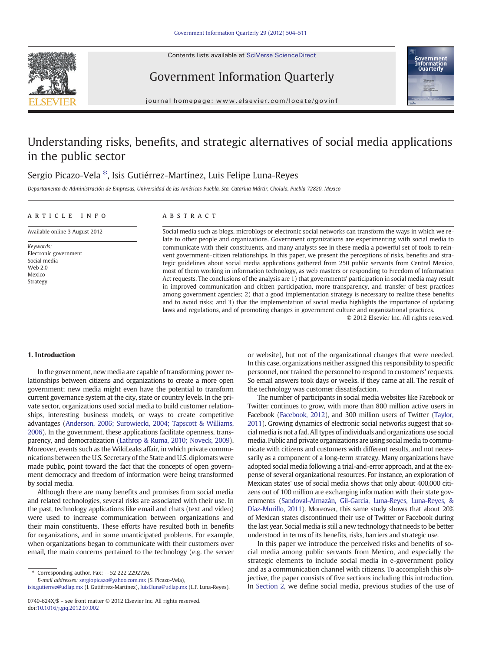Contents lists available at SciVerse ScienceDirect





Government Information Quarterly

journal homepage: www.elsevier.com/locate/govinf

## Understanding risks, benefits, and strategic alternatives of social media applications in the public sector

### Sergio Picazo-Vela<sup>\*</sup>, Isis Gutiérrez-Martínez, Luis Felipe Luna-Reyes

Departamento de Administración de Empresas, Universidad de las Américas Puebla, Sta. Catarina Mártir, Cholula, Puebla 72820, Mexico

#### article info abstract

Available online 3 August 2012

Keywords: Electronic government Social media Web 2.0 Mexico Strategy

Social media such as blogs, microblogs or electronic social networks can transform the ways in which we relate to other people and organizations. Government organizations are experimenting with social media to communicate with their constituents, and many analysts see in these media a powerful set of tools to reinvent government–citizen relationships. In this paper, we present the perceptions of risks, benefits and strategic guidelines about social media applications gathered from 250 public servants from Central Mexico, most of them working in information technology, as web masters or responding to Freedom of Information Act requests. The conclusions of the analysis are 1) that governments' participation in social media may result in improved communication and citizen participation, more transparency, and transfer of best practices among government agencies; 2) that a good implementation strategy is necessary to realize these benefits and to avoid risks; and 3) that the implementation of social media highlights the importance of updating laws and regulations, and of promoting changes in government culture and organizational practices.

© 2012 Elsevier Inc. All rights reserved.

### 1. Introduction

In the government, new media are capable of transforming power relationships between citizens and organizations to create a more open government; new media might even have the potential to transform current governance system at the city, state or country levels. In the private sector, organizations used social media to build customer relationships, interesting business models, or ways to create competitive advantages [\(Anderson, 2006; Surowiecki, 2004; Tapscott & Williams,](#page--1-0) [2006](#page--1-0)). In the government, these applications facilitate openness, transparency, and democratization ([Lathrop & Ruma, 2010; Noveck, 2009\)](#page--1-0). Moreover, events such as the WikiLeaks affair, in which private communications between the U.S. Secretary of the State and U.S. diplomats were made public, point toward the fact that the concepts of open government democracy and freedom of information were being transformed by social media.

Although there are many benefits and promises from social media and related technologies, several risks are associated with their use. In the past, technology applications like email and chats (text and video) were used to increase communication between organizations and their main constituents. These efforts have resulted both in benefits for organizations, and in some unanticipated problems. For example, when organizations began to communicate with their customers over email, the main concerns pertained to the technology (e.g. the server

⁎ Corresponding author. Fax: +52 222 2292726.

E-mail addresses: [sergiopicazo@yahoo.com.mx](mailto:sergiopicazo@yahoo.com.mx) (S. Picazo-Vela),

[isis.gutierrez@udlap.mx](mailto:isis.gutierrez@udlap.mx) (I. Gutiérrez-Martínez), [luisf.luna@udlap.mx](mailto:luisf.luna@udlap.mx) (L.F. Luna-Reyes).

or website), but not of the organizational changes that were needed. In this case, organizations neither assigned this responsibility to specific personnel, nor trained the personnel to respond to customers' requests. So email answers took days or weeks, if they came at all. The result of the technology was customer dissatisfaction.

The number of participants in social media websites like Facebook or Twitter continues to grow, with more than 800 million active users in Facebook [\(Facebook, 2012\)](#page--1-0), and 300 million users of Twitter [\(Taylor,](#page--1-0) [2011](#page--1-0)). Growing dynamics of electronic social networks suggest that social media is not a fad. All types of individuals and organizations use social media. Public and private organizations are using social media to communicate with citizens and customers with different results, and not necessarily as a component of a long-term strategy. Many organizations have adopted social media following a trial-and-error approach, and at the expense of several organizational resources. For instance, an exploration of Mexican states' use of social media shows that only about 400,000 citizens out of 100 million are exchanging information with their state governments [\(Sandoval-Almazán, Gil-Garcia, Luna-Reyes, Luna-Reyes, &](#page--1-0) [Díaz-Murillo, 2011\)](#page--1-0). Moreover, this same study shows that about 20% of Mexican states discontinued their use of Twitter or Facebook during the last year. Social media is still a new technology that needs to be better understood in terms of its benefits, risks, barriers and strategic use.

In this paper we introduce the perceived risks and benefits of social media among public servants from Mexico, and especially the strategic elements to include social media in e-government policy and as a communication channel with citizens. To accomplish this objective, the paper consists of five sections including this introduction. In [Section 2](#page-1-0), we define social media, previous studies of the use of

<sup>0740-624</sup>X/\$ – see front matter © 2012 Elsevier Inc. All rights reserved. doi[:10.1016/j.giq.2012.07.002](http://dx.doi.org/10.1016/j.giq.2012.07.002)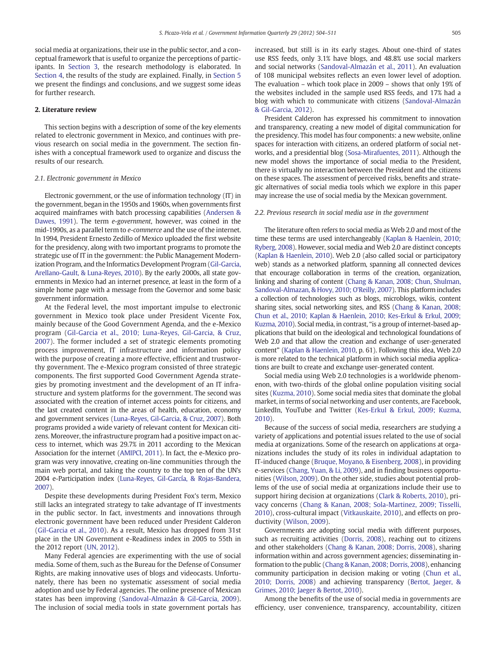<span id="page-1-0"></span>social media at organizations, their use in the public sector, and a conceptual framework that is useful to organize the perceptions of participants. In [Section 3](#page--1-0), the research methodology is elaborated. In [Section 4](#page--1-0), the results of the study are explained. Finally, in [Section 5](#page--1-0) we present the findings and conclusions, and we suggest some ideas for further research.

#### 2. Literature review

This section begins with a description of some of the key elements related to electronic government in Mexico, and continues with previous research on social media in the government. The section finishes with a conceptual framework used to organize and discuss the results of our research.

#### 2.1. Electronic government in Mexico

Electronic government, or the use of information technology (IT) in the government, began in the 1950s and 1960s, when governments first acquired mainframes with batch processing capabilities [\(Andersen &](#page--1-0) [Dawes, 1991\)](#page--1-0). The term e-government, however, was coined in the mid-1990s, as a parallel term to e-commerce and the use of the internet. In 1994, President Ernesto Zedillo of Mexico uploaded the first website for the presidency, along with two important programs to promote the strategic use of IT in the government: the Public Management Modernization Program, and the Informatics Development Program [\(Gil-Garcia,](#page--1-0) [Arellano-Gault, & Luna-Reyes, 2010](#page--1-0)). By the early 2000s, all state governments in Mexico had an internet presence, at least in the form of a simple home page with a message from the Governor and some basic government information.

At the Federal level, the most important impulse to electronic government in Mexico took place under President Vicente Fox, mainly because of the Good Government Agenda, and the e-Mexico program ([Gil-Garcia et al., 2010; Luna-Reyes, Gil-Garcia, & Cruz,](#page--1-0) [2007](#page--1-0)). The former included a set of strategic elements promoting process improvement, IT infrastructure and information policy with the purpose of creating a more effective, efficient and trustworthy government. The e-Mexico program consisted of three strategic components. The first supported Good Government Agenda strategies by promoting investment and the development of an IT infrastructure and system platforms for the government. The second was associated with the creation of internet access points for citizens, and the last created content in the areas of health, education, economy and government services [\(Luna-Reyes, Gil-Garcia, & Cruz, 2007](#page--1-0)). Both programs provided a wide variety of relevant content for Mexican citizens. Moreover, the infrastructure program had a positive impact on access to internet, which was 29.7% in 2011 according to the Mexican Association for the internet [\(AMIPCI, 2011](#page--1-0)). In fact, the e-Mexico program was very innovative, creating on-line communities through the main web portal, and taking the country to the top ten of the UN's 2004 e-Participation index [\(Luna-Reyes, Gil-García, & Rojas-Bandera,](#page--1-0) [2007](#page--1-0)).

Despite these developments during President Fox's term, Mexico still lacks an integrated strategy to take advantage of IT investments in the public sector. In fact, investments and innovations through electronic government have been reduced under President Calderon [\(Gil-Garcia et al., 2010\)](#page--1-0). As a result, Mexico has dropped from 31st place in the UN Government e-Readiness index in 2005 to 55th in the 2012 report [\(UN, 2012\)](#page--1-0).

Many Federal agencies are experimenting with the use of social media. Some of them, such as the Bureau for the Defense of Consumer Rights, are making innovative uses of blogs and videocasts. Unfortunately, there has been no systematic assessment of social media adoption and use by Federal agencies. The online presence of Mexican states has been improving [\(Sandoval-Almazán & Gil-Garcia, 2009](#page--1-0)). The inclusion of social media tools in state government portals has

increased, but still is in its early stages. About one-third of states use RSS feeds, only 3.1% have blogs, and 48.8% use social markers and social networks ([Sandoval-Almazán et al., 2011](#page--1-0)). An evaluation of 108 municipal websites reflects an even lower level of adoption. The evaluation – which took place in 2009 – shows that only 19% of the websites included in the sample used RSS feeds, and 17% had a blog with which to communicate with citizens ([Sandoval-Almazán](#page--1-0) [& Gil-Garcia, 2012](#page--1-0)).

President Calderon has expressed his commitment to innovation and transparency, creating a new model of digital communication for the presidency. This model has four components: a new website, online spaces for interaction with citizens, an ordered platform of social networks, and a presidential blog ([Sosa-Mirafuentes, 2011](#page--1-0)). Although the new model shows the importance of social media to the President, there is virtually no interaction between the President and the citizens on these spaces. The assessment of perceived risks, benefits and strategic alternatives of social media tools which we explore in this paper may increase the use of social media by the Mexican government.

#### 2.2. Previous research in social media use in the government

The literature often refers to social media as Web 2.0 and most of the time these terms are used interchangeably [\(Kaplan & Haenlein, 2010;](#page--1-0) [Ryberg, 2008](#page--1-0)). However, social media and Web 2.0 are distinct concepts [\(Kaplan & Haenlein, 2010\)](#page--1-0). Web 2.0 (also called social or participatory web) stands as a networked platform, spanning all connected devices that encourage collaboration in terms of the creation, organization, linking and sharing of content [\(Chang & Kanan, 2008; Chun, Shulman,](#page--1-0) [Sandoval-Almazan, & Hovy, 2010; O'Reilly, 2007\)](#page--1-0). This platform includes a collection of technologies such as blogs, microblogs, wikis, content sharing sites, social networking sites, and RSS [\(Chang & Kanan, 2008;](#page--1-0) [Chun et al., 2010; Kaplan & Haenlein, 2010; Kes-Erkul & Erkul, 2009;](#page--1-0) [Kuzma, 2010\)](#page--1-0). Social media, in contrast, "is a group of internet-based applications that build on the ideological and technological foundations of Web 2.0 and that allow the creation and exchange of user-generated content" [\(Kaplan & Haenlein, 2010](#page--1-0), p. 61). Following this idea, Web 2.0 is more related to the technical platform in which social media applications are built to create and exchange user-generated content.

Social media using Web 2.0 technologies is a worldwide phenomenon, with two-thirds of the global online population visiting social sites [\(Kuzma, 2010](#page--1-0)). Some social media sites that dominate the global market, in terms of social networking and user contents, are Facebook, LinkedIn, YouTube and Twitter ([Kes-Erkul & Erkul, 2009; Kuzma,](#page--1-0) [2010\)](#page--1-0).

Because of the success of social media, researchers are studying a variety of applications and potential issues related to the use of social media at organizations. Some of the research on applications at organizations includes the study of its roles in individual adaptation to IT-induced change ([Bruque, Moyano, & Eisenberg, 2008](#page--1-0)), in providing e-services [\(Chang, Yuan, & Li, 2009\)](#page--1-0), and in finding business opportunities ([Wilson, 2009\)](#page--1-0). On the other side, studies about potential problems of the use of social media at organizations include their use to support hiring decision at organizations ([Clark & Roberts, 2010](#page--1-0)), privacy concerns [\(Chang & Kanan, 2008; Sola-Martinez, 2009; Tisselli,](#page--1-0) [2010\)](#page--1-0), cross-cultural impact ([Vitkauskaite, 2010\)](#page--1-0), and effects on productivity ([Wilson, 2009\)](#page--1-0).

Governments are adopting social media with different purposes, such as recruiting activities [\(Dorris, 2008\)](#page--1-0), reaching out to citizens and other stakeholders ([Chang & Kanan, 2008; Dorris, 2008](#page--1-0)), sharing information within and across government agencies; disseminating information to the public [\(Chang & Kanan, 2008; Dorris, 2008\)](#page--1-0), enhancing community participation in decision making or voting [\(Chun et al.,](#page--1-0) [2010; Dorris, 2008](#page--1-0)) and achieving transparency [\(Bertot, Jaeger, &](#page--1-0) [Grimes, 2010; Jaeger & Bertot, 2010](#page--1-0)).

Among the benefits of the use of social media in governments are efficiency, user convenience, transparency, accountability, citizen